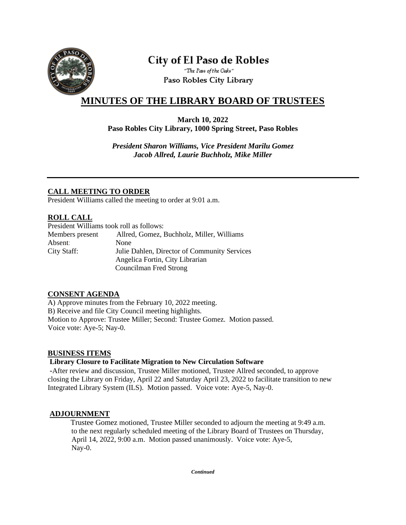

# **City of El Paso de Robles**

"The Pass of the Oaks" Paso Robles City Library

## **MINUTES OF THE LIBRARY BOARD OF TRUSTEES**

#### **March 10, 2022 Paso Robles City Library, 1000 Spring Street, Paso Robles**

*President Sharon Williams, Vice President Marilu Gomez Jacob Allred, Laurie Buchholz, Mike Miller*

## **CALL MEETING TO ORDER**

President Williams called the meeting to order at 9:01 a.m.

## **ROLL CALL**

| President Williams took roll as follows: |                                              |
|------------------------------------------|----------------------------------------------|
| Members present                          | Allred, Gomez, Buchholz, Miller, Williams    |
| Absent:                                  | None                                         |
| City Staff:                              | Julie Dahlen, Director of Community Services |
|                                          | Angelica Fortin, City Librarian              |
|                                          | Councilman Fred Strong                       |

## **CONSENT AGENDA**

A) Approve minutes from the February 10, 2022 meeting. B) Receive and file City Council meeting highlights. Motion to Approve: Trustee Miller; Second: Trustee Gomez. Motion passed. Voice vote: Aye-5; Nay-0.

#### **BUSINESS ITEMS**

#### **Library Closure to Facilitate Migration to New Circulation Software**

-After review and discussion, Trustee Miller motioned, Trustee Allred seconded, to approve closing the Library on Friday, April 22 and Saturday April 23, 2022 to facilitate transition to new Integrated Library System (ILS). Motion passed. Voice vote: Aye-5, Nay-0.

#### **ADJOURNMENT**

 Trustee Gomez motioned, Trustee Miller seconded to adjourn the meeting at 9:49 a.m. to the next regularly scheduled meeting of the Library Board of Trustees on Thursday, April 14, 2022, 9:00 a.m. Motion passed unanimously. Voice vote: Aye-5, Nay-0.